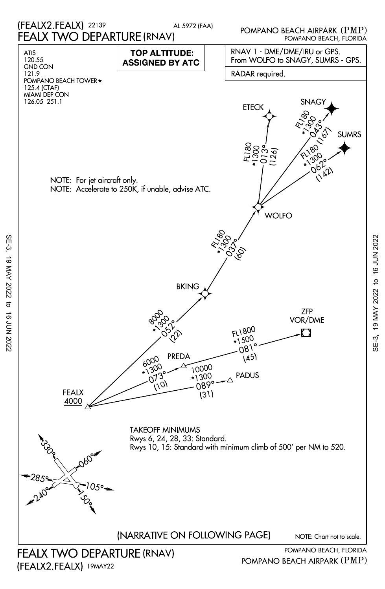

SE-3, 19 MAY 2022 to 16 JUN 2022

 $\sigma$ 

16 JUN 2022

19 MAY 2022

SE-3,

SE-3, 19 MAY 2022 to 16 JUN 202219 MAY 2022 to 16 JUN 2022

 $SE-3$ ,